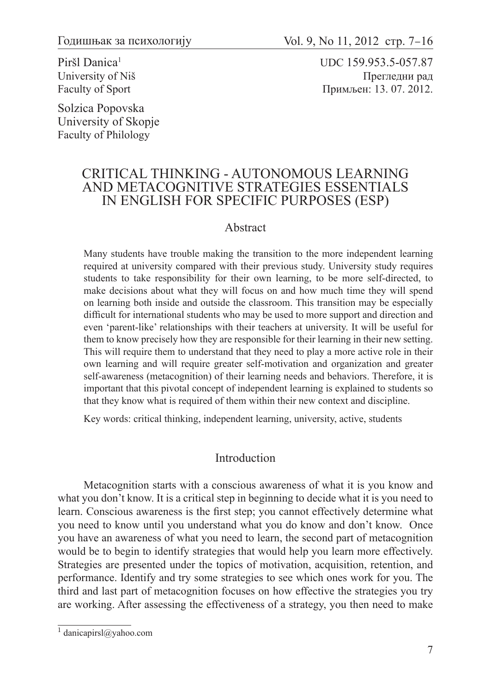Piršl Danica<sup>1</sup> University of Niš Faculty of Sport

Solzica Popovska University of Skopje Faculty of Philology

UDC 159.953.5-057.87 Прегледни рад Примљен: 13. 07. 2012.

## CRITICAL THINKING - AUTONOMOUS LEARNING AND METACOGNITIVE STRATEGIES ESSENTIALS IN ENGLISH FOR SPECIFIC PURPOSES (ESP)

#### Abstract

Many students have trouble making the transition to the more independent learning required at university compared with their previous study. University study requires students to take responsibility for their own learning, to be more self-directed, to make decisions about what they will focus on and how much time they will spend on learning both inside and outside the classroom. This transition may be especially difficult for international students who may be used to more support and direction and even 'parent-like' relationships with their teachers at university. It will be useful for them to know precisely how they are responsible for their learning in their new setting. This will require them to understand that they need to play a more active role in their own learning and will require greater self-motivation and organization and greater self-awareness (metacognition) of their learning needs and behaviors. Therefore, it is important that this pivotal concept of independent learning is explained to students so that they know what is required of them within their new context and discipline.

Key words: critical thinking, independent learning, university, active, students

#### Introduction

Metacognition starts with a conscious awareness of what it is you know and what you don't know. It is a critical step in beginning to decide what it is you need to learn. Conscious awareness is the first step; you cannot effectively determine what you need to know until you understand what you do know and don't know. Once you have an awareness of what you need to learn, the second part of metacognition would be to begin to identify strategies that would help you learn more effectively. Strategies are presented under the topics of motivation, acquisition, retention, and performance. Identify and try some strategies to see which ones work for you. The third and last part of metacognition focuses on how effective the strategies you try are working. After assessing the effectiveness of a strategy, you then need to make

<sup>&</sup>lt;sup>1</sup> danicapirsl@yahoo.com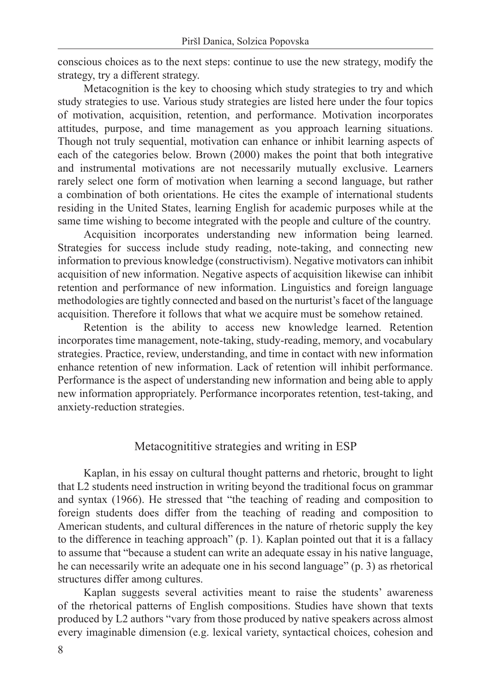conscious choices as to the next steps: continue to use the new strategy, modify the strategy, try a different strategy.

Metacognition is the key to choosing which study strategies to try and which study strategies to use. Various study strategies are listed here under the four topics of motivation, acquisition, retention, and performance. Motivation incorporates attitudes, purpose, and time management as you approach learning situations. Though not truly sequential, motivation can enhance or inhibit learning aspects of each of the categories below. Brown (2000) makes the point that both integrative and instrumental motivations are not necessarily mutually exclusive. Learners rarely select one form of motivation when learning a second language, but rather a combination of both orientations. He cites the example of international students residing in the United States, learning English for academic purposes while at the same time wishing to become integrated with the people and culture of the country.

Acquisition incorporates understanding new information being learned. Strategies for success include study reading, note-taking, and connecting new information to previous knowledge (constructivism). Negative motivators can inhibit acquisition of new information. Negative aspects of acquisition likewise can inhibit retention and performance of new information. Linguistics and foreign language methodologies are tightly connected and based on the nurturist's facet of the language acquisition. Therefore it follows that what we acquire must be somehow retained.

Retention is the ability to access new knowledge learned. Retention incorporates time management, note-taking, study-reading, memory, and vocabulary strategies. Practice, review, understanding, and time in contact with new information enhance retention of new information. Lack of retention will inhibit performance. Performance is the aspect of understanding new information and being able to apply new information appropriately. Performance incorporates retention, test-taking, and anxiety-reduction strategies.

# Metacognititive strategies and writing in ESP

Kaplan, in his essay on cultural thought patterns and rhetoric, brought to light that L2 students need instruction in writing beyond the traditional focus on grammar and syntax (1966). He stressed that "the teaching of reading and composition to foreign students does differ from the teaching of reading and composition to American students, and cultural differences in the nature of rhetoric supply the key to the difference in teaching approach" (p. 1). Kaplan pointed out that it is a fallacy to assume that "because a student can write an adequate essay in his native language, he can necessarily write an adequate one in his second language" (p. 3) as rhetorical structures differ among cultures.

Kaplan suggests several activities meant to raise the students' awareness of the rhetorical patterns of English compositions. Studies have shown that texts produced by L2 authors "vary from those produced by native speakers across almost every imaginable dimension (e.g. lexical variety, syntactical choices, cohesion and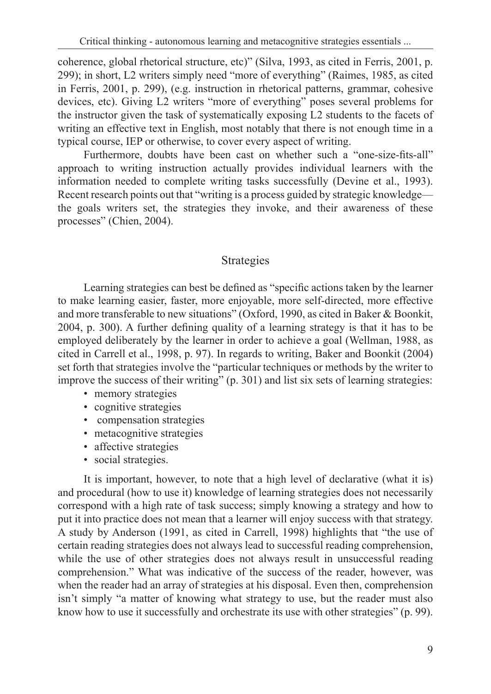coherence, global rhetorical structure, etc)" (Silva, 1993, as cited in Ferris, 2001, p. 299); in short, L2 writers simply need "more of everything" (Raimes, 1985, as cited in Ferris, 2001, p. 299), (e.g. instruction in rhetorical patterns, grammar, cohesive devices, etc). Giving L2 writers "more of everything" poses several problems for the instructor given the task of systematically exposing L2 students to the facets of writing an effective text in English, most notably that there is not enough time in a typical course, IEP or otherwise, to cover every aspect of writing.

Furthermore, doubts have been cast on whether such a "one-size-fits-all" approach to writing instruction actually provides individual learners with the information needed to complete writing tasks successfully (Devine et al., 1993). Recent research points out that "writing is a process guided by strategic knowledge the goals writers set, the strategies they invoke, and their awareness of these processes" (Chien, 2004).

### Strategies

Learning strategies can best be defined as "specific actions taken by the learner to make learning easier, faster, more enjoyable, more self-directed, more effective and more transferable to new situations" (Oxford, 1990, as cited in Baker & Boonkit, 2004, p. 300). A further defining quality of a learning strategy is that it has to be employed deliberately by the learner in order to achieve a goal (Wellman, 1988, as cited in Carrell et al., 1998, p. 97). In regards to writing, Baker and Boonkit (2004) set forth that strategies involve the "particular techniques or methods by the writer to improve the success of their writing" (p. 301) and list six sets of learning strategies:

- memory strategies
- cognitive strategies
- compensation strategies
- metacognitive strategies
- affective strategies
- social strategies.

It is important, however, to note that a high level of declarative (what it is) and procedural (how to use it) knowledge of learning strategies does not necessarily correspond with a high rate of task success; simply knowing a strategy and how to put it into practice does not mean that a learner will enjoy success with that strategy. A study by Anderson (1991, as cited in Carrell, 1998) highlights that "the use of certain reading strategies does not always lead to successful reading comprehension, while the use of other strategies does not always result in unsuccessful reading comprehension." What was indicative of the success of the reader, however, was when the reader had an array of strategies at his disposal. Even then, comprehension isn't simply "a matter of knowing what strategy to use, but the reader must also know how to use it successfully and orchestrate its use with other strategies" (p. 99).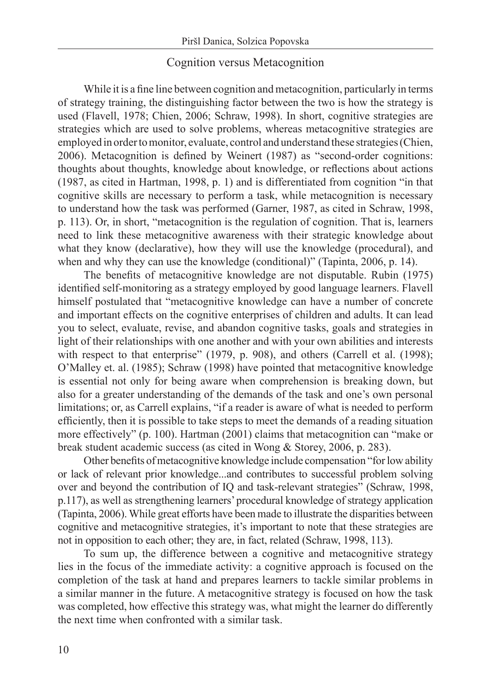### Cognition versus Metacognition

While it is a fine line between cognition and metacognition, particularly in terms of strategy training, the distinguishing factor between the two is how the strategy is used (Flavell, 1978; Chien, 2006; Schraw, 1998). In short, cognitive strategies are strategies which are used to solve problems, whereas metacognitive strategies are employed in order to monitor, evaluate, control and understand these strategies (Chien, 2006). Metacognition is defined by Weinert (1987) as "second-order cognitions: thoughts about thoughts, knowledge about knowledge, or reflections about actions (1987, as cited in Hartman, 1998, p. 1) and is differentiated from cognition "in that cognitive skills are necessary to perform a task, while metacognition is necessary to understand how the task was performed (Garner, 1987, as cited in Schraw, 1998, p. 113). Or, in short, "metacognition is the regulation of cognition. That is, learners need to link these metacognitive awareness with their strategic knowledge about what they know (declarative), how they will use the knowledge (procedural), and when and why they can use the knowledge (conditional)" (Tapinta, 2006, p. 14).

The benefits of metacognitive knowledge are not disputable. Rubin (1975) identified self-monitoring as a strategy employed by good language learners. Flavell himself postulated that "metacognitive knowledge can have a number of concrete and important effects on the cognitive enterprises of children and adults. It can lead you to select, evaluate, revise, and abandon cognitive tasks, goals and strategies in light of their relationships with one another and with your own abilities and interests with respect to that enterprise" (1979, p. 908), and others (Carrell et al. (1998); O'Malley et. al. (1985); Schraw (1998) have pointed that metacognitive knowledge is essential not only for being aware when comprehension is breaking down, but also for a greater understanding of the demands of the task and one's own personal limitations; or, as Carrell explains, "if a reader is aware of what is needed to perform efficiently, then it is possible to take steps to meet the demands of a reading situation more effectively" (p. 100). Hartman (2001) claims that metacognition can "make or break student academic success (as cited in Wong & Storey, 2006, p. 283).

Other benefits of metacognitive knowledge include compensation "for low ability or lack of relevant prior knowledge...and contributes to successful problem solving over and beyond the contribution of IQ and task-relevant strategies" (Schraw, 1998, p.117), as well as strengthening learners' procedural knowledge of strategy application (Tapinta, 2006). While great efforts have been made to illustrate the disparities between cognitive and metacognitive strategies, it's important to note that these strategies are not in opposition to each other; they are, in fact, related (Schraw, 1998, 113).

To sum up, the difference between a cognitive and metacognitive strategy lies in the focus of the immediate activity: a cognitive approach is focused on the completion of the task at hand and prepares learners to tackle similar problems in a similar manner in the future. A metacognitive strategy is focused on how the task was completed, how effective this strategy was, what might the learner do differently the next time when confronted with a similar task.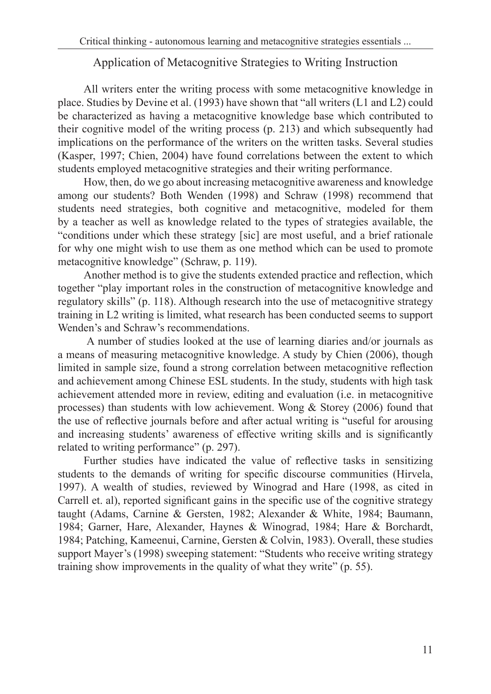## Application of Metacognitive Strategies to Writing Instruction

All writers enter the writing process with some metacognitive knowledge in place. Studies by Devine et al. (1993) have shown that "all writers (L1 and L2) could be characterized as having a metacognitive knowledge base which contributed to their cognitive model of the writing process (p. 213) and which subsequently had implications on the performance of the writers on the written tasks. Several studies (Kasper, 1997; Chien, 2004) have found correlations between the extent to which students employed metacognitive strategies and their writing performance.

How, then, do we go about increasing metacognitive awareness and knowledge among our students? Both Wenden (1998) and Schraw (1998) recommend that students need strategies, both cognitive and metacognitive, modeled for them by a teacher as well as knowledge related to the types of strategies available, the "conditions under which these strategy [sic] are most useful, and a brief rationale for why one might wish to use them as one method which can be used to promote metacognitive knowledge" (Schraw, p. 119).

Another method is to give the students extended practice and reflection, which together "play important roles in the construction of metacognitive knowledge and regulatory skills" (p. 118). Although research into the use of metacognitive strategy training in L2 writing is limited, what research has been conducted seems to support Wenden's and Schraw's recommendations.

 A number of studies looked at the use of learning diaries and/or journals as a means of measuring metacognitive knowledge. A study by Chien (2006), though limited in sample size, found a strong correlation between metacognitive reflection and achievement among Chinese ESL students. In the study, students with high task achievement attended more in review, editing and evaluation (i.e. in metacognitive processes) than students with low achievement. Wong & Storey (2006) found that the use of reflective journals before and after actual writing is "useful for arousing and increasing students' awareness of effective writing skills and is significantly related to writing performance" (p. 297).

Further studies have indicated the value of reflective tasks in sensitizing students to the demands of writing for specific discourse communities (Hirvela, 1997). A wealth of studies, reviewed by Winograd and Hare (1998, as cited in Carrell et. al), reported significant gains in the specific use of the cognitive strategy taught (Adams, Carnine & Gersten, 1982; Alexander & White, 1984; Baumann, 1984; Garner, Hare, Alexander, Haynes & Winograd, 1984; Hare & Borchardt, 1984; Patching, Kameenui, Carnine, Gersten & Colvin, 1983). Overall, these studies support Mayer's (1998) sweeping statement: "Students who receive writing strategy training show improvements in the quality of what they write" (p. 55).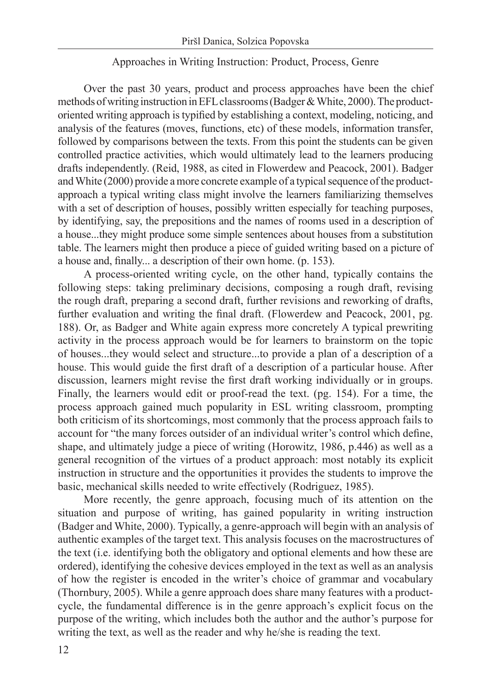#### Approaches in Writing Instruction: Product, Process, Genre

Over the past 30 years, product and process approaches have been the chief methods of writing instruction in EFL classrooms (Badger & White, 2000). The productoriented writing approach is typified by establishing a context, modeling, noticing, and analysis of the features (moves, functions, etc) of these models, information transfer, followed by comparisons between the texts. From this point the students can be given controlled practice activities, which would ultimately lead to the learners producing drafts independently. (Reid, 1988, as cited in Flowerdew and Peacock, 2001). Badger and White (2000) provide a more concrete example of a typical sequence of the productapproach a typical writing class might involve the learners familiarizing themselves with a set of description of houses, possibly written especially for teaching purposes, by identifying, say, the prepositions and the names of rooms used in a description of a house...they might produce some simple sentences about houses from a substitution table. The learners might then produce a piece of guided writing based on a picture of a house and, finally... a description of their own home. (p. 153).

A process-oriented writing cycle, on the other hand, typically contains the following steps: taking preliminary decisions, composing a rough draft, revising the rough draft, preparing a second draft, further revisions and reworking of drafts, further evaluation and writing the final draft. (Flowerdew and Peacock, 2001, pg. 188). Or, as Badger and White again express more concretely A typical prewriting activity in the process approach would be for learners to brainstorm on the topic of houses...they would select and structure...to provide a plan of a description of a house. This would guide the first draft of a description of a particular house. After discussion, learners might revise the first draft working individually or in groups. Finally, the learners would edit or proof-read the text. (pg. 154). For a time, the process approach gained much popularity in ESL writing classroom, prompting both criticism of its shortcomings, most commonly that the process approach fails to account for "the many forces outsider of an individual writer's control which define, shape, and ultimately judge a piece of writing (Horowitz, 1986, p.446) as well as a general recognition of the virtues of a product approach: most notably its explicit instruction in structure and the opportunities it provides the students to improve the basic, mechanical skills needed to write effectively (Rodriguez, 1985).

More recently, the genre approach, focusing much of its attention on the situation and purpose of writing, has gained popularity in writing instruction (Badger and White, 2000). Typically, a genre-approach will begin with an analysis of authentic examples of the target text. This analysis focuses on the macrostructures of the text (i.e. identifying both the obligatory and optional elements and how these are ordered), identifying the cohesive devices employed in the text as well as an analysis of how the register is encoded in the writer's choice of grammar and vocabulary (Thornbury, 2005). While a genre approach does share many features with a productcycle, the fundamental difference is in the genre approach's explicit focus on the purpose of the writing, which includes both the author and the author's purpose for writing the text, as well as the reader and why he/she is reading the text.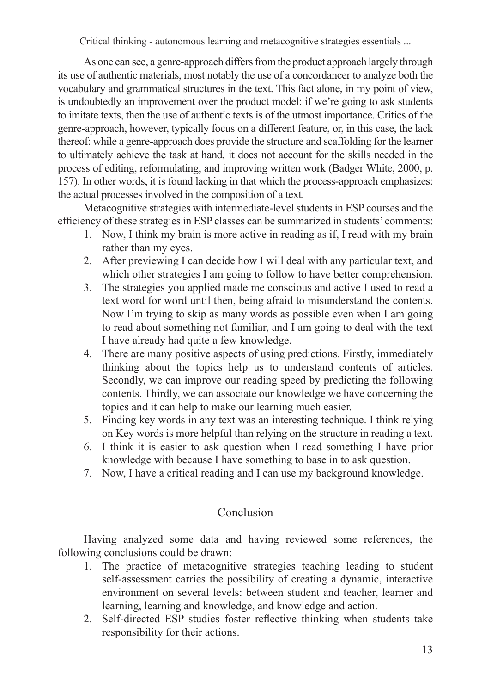As one can see, a genre-approach differs from the product approach largely through its use of authentic materials, most notably the use of a concordancer to analyze both the vocabulary and grammatical structures in the text. This fact alone, in my point of view, is undoubtedly an improvement over the product model: if we're going to ask students to imitate texts, then the use of authentic texts is of the utmost importance. Critics of the genre-approach, however, typically focus on a different feature, or, in this case, the lack thereof: while a genre-approach does provide the structure and scaffolding for the learner to ultimately achieve the task at hand, it does not account for the skills needed in the process of editing, reformulating, and improving written work (Badger White, 2000, p. 157). In other words, it is found lacking in that which the process-approach emphasizes: the actual processes involved in the composition of a text.

Metacognitive strategies with intermediate-level students in ESP courses and the efficiency of these strategies in ESP classes can be summarized in students' comments:

- 1. Now, I think my brain is more active in reading as if, I read with my brain rather than my eyes.
- 2. After previewing I can decide how I will deal with any particular text, and which other strategies I am going to follow to have better comprehension.
- 3. The strategies you applied made me conscious and active I used to read a text word for word until then, being afraid to misunderstand the contents. Now I'm trying to skip as many words as possible even when I am going to read about something not familiar, and I am going to deal with the text I have already had quite a few knowledge.
- 4. There are many positive aspects of using predictions. Firstly, immediately thinking about the topics help us to understand contents of articles. Secondly, we can improve our reading speed by predicting the following contents. Thirdly, we can associate our knowledge we have concerning the topics and it can help to make our learning much easier.
- 5. Finding key words in any text was an interesting technique. I think relying on Key words is more helpful than relying on the structure in reading a text.
- 6. I think it is easier to ask question when I read something I have prior knowledge with because I have something to base in to ask question.
- 7. Now, I have a critical reading and I can use my background knowledge.

# Conclusion

Having analyzed some data and having reviewed some references, the following conclusions could be drawn:

- 1. The practice of metacognitive strategies teaching leading to student self-assessment carries the possibility of creating a dynamic, interactive environment on several levels: between student and teacher, learner and learning, learning and knowledge, and knowledge and action.
- 2. Self-directed ESP studies foster reflective thinking when students take responsibility for their actions.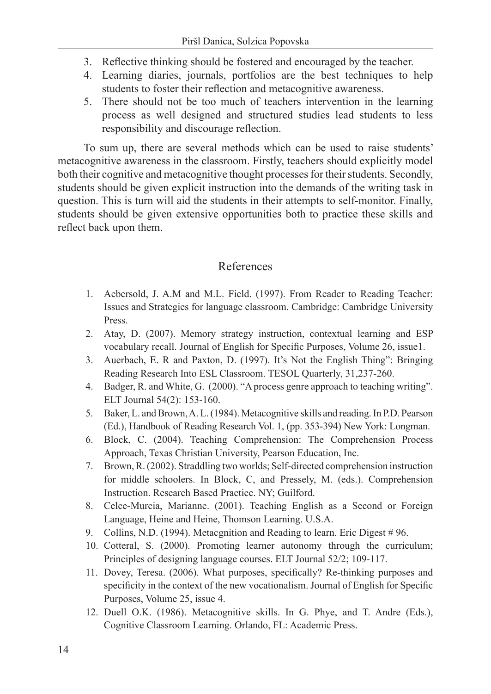- 3. Reflective thinking should be fostered and encouraged by the teacher.
- 4. Learning diaries, journals, portfolios are the best techniques to help students to foster their reflection and metacognitive awareness.
- 5. There should not be too much of teachers intervention in the learning process as well designed and structured studies lead students to less responsibility and discourage reflection.

To sum up, there are several methods which can be used to raise students' metacognitive awareness in the classroom. Firstly, teachers should explicitly model both their cognitive and metacognitive thought processes for their students. Secondly, students should be given explicit instruction into the demands of the writing task in question. This is turn will aid the students in their attempts to self-monitor. Finally, students should be given extensive opportunities both to practice these skills and reflect back upon them.

## References

- 1. Aebersold, J. A.M and M.L. Field. (1997). From Reader to Reading Teacher: Issues and Strategies for language classroom. Cambridge: Cambridge University Press.
- 2. Atay, D. (2007). Memory strategy instruction, contextual learning and ESP vocabulary recall. Journal of English for Specific Purposes, Volume 26, issue1.
- 3. Auerbach, E. R and Paxton, D. (1997). It's Not the English Thing": Bringing Reading Research Into ESL Classroom. TESOL Quarterly, 31,237-260.
- 4. Badger, R. and White, G. (2000). "A process genre approach to teaching writing". ELT Journal 54(2): 153-160.
- 5. Baker, L. and Brown, A. L. (1984). Metacognitive skills and reading. In P.D. Pearson (Ed.), Handbook of Reading Research Vol. 1, (pp. 353-394) New York: Longman.
- 6. Block, C. (2004). Teaching Comprehension: The Comprehension Process Approach, Texas Christian University, Pearson Education, Inc.
- 7. Brown, R. (2002). Straddling two worlds; Self-directed comprehension instruction for middle schoolers. In Block, C, and Pressely, M. (eds.). Comprehension Instruction. Research Based Practice. NY; Guilford.
- 8. Celce-Murcia, Marianne. (2001). Teaching English as a Second or Foreign Language, Heine and Heine, Thomson Learning. U.S.A.
- 9. Collins, N.D. (1994). Metacgnition and Reading to learn. Eric Digest # 96.
- 10. Cotteral, S. (2000). Promoting learner autonomy through the curriculum; Principles of designing language courses. ELT Journal 52/2; 109-117.
- 11. Dovey, Teresa. (2006). What purposes, specifically? Re-thinking purposes and specificity in the context of the new vocationalism. Journal of English for Specific Purposes, Volume 25, issue 4.
- 12. Duell O.K. (1986). Metacognitive skills. In G. Phye, and T. Andre (Eds.), Cognitive Classroom Learning. Orlando, FL: Academic Press.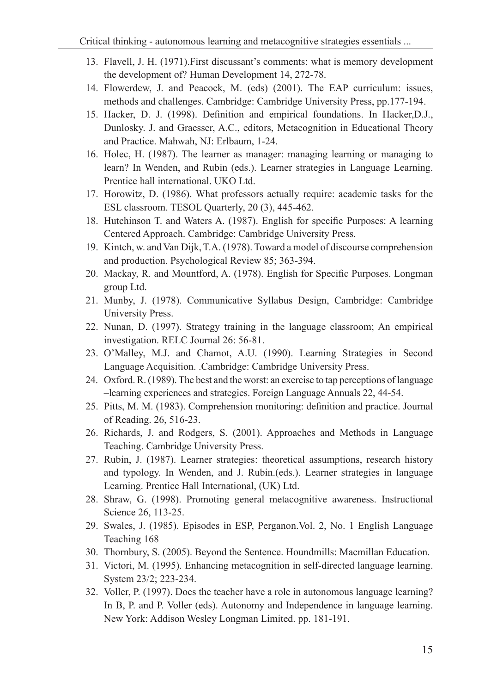- 13. Flavell, J. H. (1971).First discussant's comments: what is memory development the development of? Human Development 14, 272-78.
- 14. Flowerdew, J. and Peacock, M. (eds) (2001). The EAP curriculum: issues, methods and challenges. Cambridge: Cambridge University Press, pp.177-194.
- 15. Hacker, D. J. (1998). Definition and empirical foundations. In Hacker,D.J., Dunlosky. J. and Graesser, A.C., editors, Metacognition in Educational Theory and Practice. Mahwah, NJ: Erlbaum, 1-24.
- 16. Holec, H. (1987). The learner as manager: managing learning or managing to learn? In Wenden, and Rubin (eds.). Learner strategies in Language Learning. Prentice hall international. UKO Ltd.
- 17. Horowitz, D. (1986). What professors actually require: academic tasks for the ESL classroom. TESOL Quarterly, 20 (3), 445-462.
- 18. Hutchinson T. and Waters A. (1987). English for specific Purposes: A learning Centered Approach. Cambridge: Cambridge University Press.
- 19. Kintch, w. and Van Dijk, T.A. (1978). Toward a model of discourse comprehension and production. Psychological Review 85; 363-394.
- 20. Mackay, R. and Mountford, A. (1978). English for Specific Purposes. Longman group Ltd.
- 21. Munby, J. (1978). Communicative Syllabus Design, Cambridge: Cambridge University Press.
- 22. Nunan, D. (1997). Strategy training in the language classroom; An empirical investigation. RELC Journal 26: 56-81.
- 23. O'Malley, M.J. and Chamot, A.U. (1990). Learning Strategies in Second Language Acquisition. .Cambridge: Cambridge University Press.
- 24. Oxford. R. (1989). The best and the worst: an exercise to tap perceptions of language –learning experiences and strategies. Foreign Language Annuals 22, 44-54.
- 25. Pitts, M. M. (1983). Comprehension monitoring: definition and practice. Journal of Reading. 26, 516-23.
- 26. Richards, J. and Rodgers, S. (2001). Approaches and Methods in Language Teaching. Cambridge University Press.
- 27. Rubin, J. (1987). Learner strategies: theoretical assumptions, research history and typology. In Wenden, and J. Rubin.(eds.). Learner strategies in language Learning. Prentice Hall International, (UK) Ltd.
- 28. Shraw, G. (1998). Promoting general metacognitive awareness. Instructional Science 26, 113-25.
- 29. Swales, J. (1985). Episodes in ESP, Perganon.Vol. 2, No. 1 English Language Teaching 168
- 30. Thornbury, S. (2005). Beyond the Sentence. Houndmills: Macmillan Education.
- 31. Victori, M. (1995). Enhancing metacognition in self-directed language learning. System 23/2; 223-234.
- 32. Voller, P. (1997). Does the teacher have a role in autonomous language learning? In B, P. and P. Voller (eds). Autonomy and Independence in language learning. New York: Addison Wesley Longman Limited. pp. 181-191.